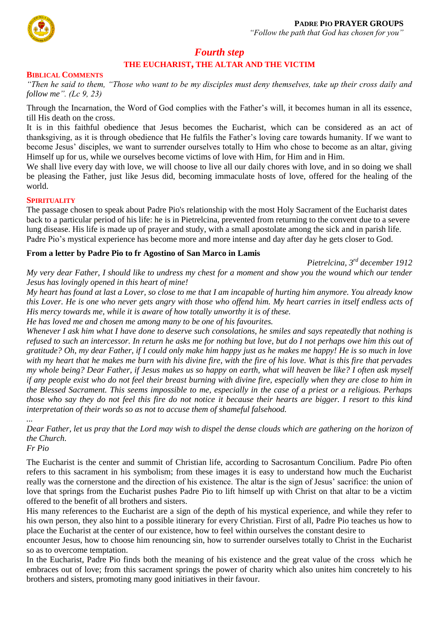

# *Fourth step*

# **THE EUCHARIST, THE ALTAR AND THE VICTIM**

#### **BIBLICAL COMMENTS**

*"Then he said to them, "Those who want to be my disciples must deny themselves, take up their cross daily and follow me". (Lc 9, 23)*

Through the Incarnation, the Word of God complies with the Father's will, it becomes human in all its essence, till His death on the cross.

It is in this faithful obedience that Jesus becomes the Eucharist, which can be considered as an act of thanksgiving, as it is through obedience that He fulfils the Father's loving care towards humanity. If we want to become Jesus' disciples, we want to surrender ourselves totally to Him who chose to become as an altar, giving Himself up for us, while we ourselves become victims of love with Him, for Him and in Him.

We shall live every day with love, we will choose to live all our daily chores with love, and in so doing we shall be pleasing the Father, just like Jesus did, becoming immaculate hosts of love, offered for the healing of the world.

#### **SPIRITUALITY**

The passage chosen to speak about Padre Pio's relationship with the most Holy Sacrament of the Eucharist dates back to a particular period of his life: he is in Pietrelcina, prevented from returning to the convent due to a severe lung disease. His life is made up of prayer and study, with a small apostolate among the sick and in parish life. Padre Pio's mystical experience has become more and more intense and day after day he gets closer to God.

## **From a letter by Padre Pio to fr Agostino of San Marco in Lamis**

*Pietrelcina, 3rd december 1912*

*My very dear Father, I should like to undress my chest for a moment and show you the wound which our tender Jesus has lovingly opened in this heart of mine!* 

*My heart has found at last a Lover, so close to me that I am incapable of hurting him anymore. You already know this Lover. He is one who never gets angry with those who offend him. My heart carries in itself endless acts of His mercy towards me, while it is aware of how totally unworthy it is of these.* 

*He has loved me and chosen me among many to be one of his favourites.*

*Whenever I ask him what I have done to deserve such consolations, he smiles and says repeatedly that nothing is refused to such an intercessor. In return he asks me for nothing but love, but do I not perhaps owe him this out of gratitude? Oh, my dear Father, if I could only make him happy just as he makes me happy! He is so much in love with my heart that he makes me burn with his divine fire, with the fire of his love. What is this fire that pervades my whole being? Dear Father, if Jesus makes us so happy on earth, what will heaven be like? I often ask myself if any people exist who do not feel their breast burning with divine fire, especially when they are close to him in the Blessed Sacrament. This seems impossible to me, especially in the case of a priest or a religious. Perhaps those who say they do not feel this fire do not notice it because their hearts are bigger. I resort to this kind interpretation of their words so as not to accuse them of shameful falsehood.* 

*... Dear Father, let us pray that the Lord may wish to dispel the dense clouds which are gathering on the horizon of the Church.* 

*Fr Pio*

The Eucharist is the center and summit of Christian life, according to Sacrosantum Concilium. Padre Pio often refers to this sacrament in his symbolism; from these images it is easy to understand how much the Eucharist really was the cornerstone and the direction of his existence. The altar is the sign of Jesus' sacrifice: the union of love that springs from the Eucharist pushes Padre Pio to lift himself up with Christ on that altar to be a victim offered to the benefit of all brothers and sisters.

His many references to the Eucharist are a sign of the depth of his mystical experience, and while they refer to his own person, they also hint to a possible itinerary for every Christian. First of all, Padre Pio teaches us how to place the Eucharist at the center of our existence, how to feel within ourselves the constant desire to

encounter Jesus, how to choose him renouncing sin, how to surrender ourselves totally to Christ in the Eucharist so as to overcome temptation.

In the Eucharist, Padre Pio finds both the meaning of his existence and the great value of the cross which he embraces out of love; from this sacrament springs the power of charity which also unites him concretely to his brothers and sisters, promoting many good initiatives in their favour.